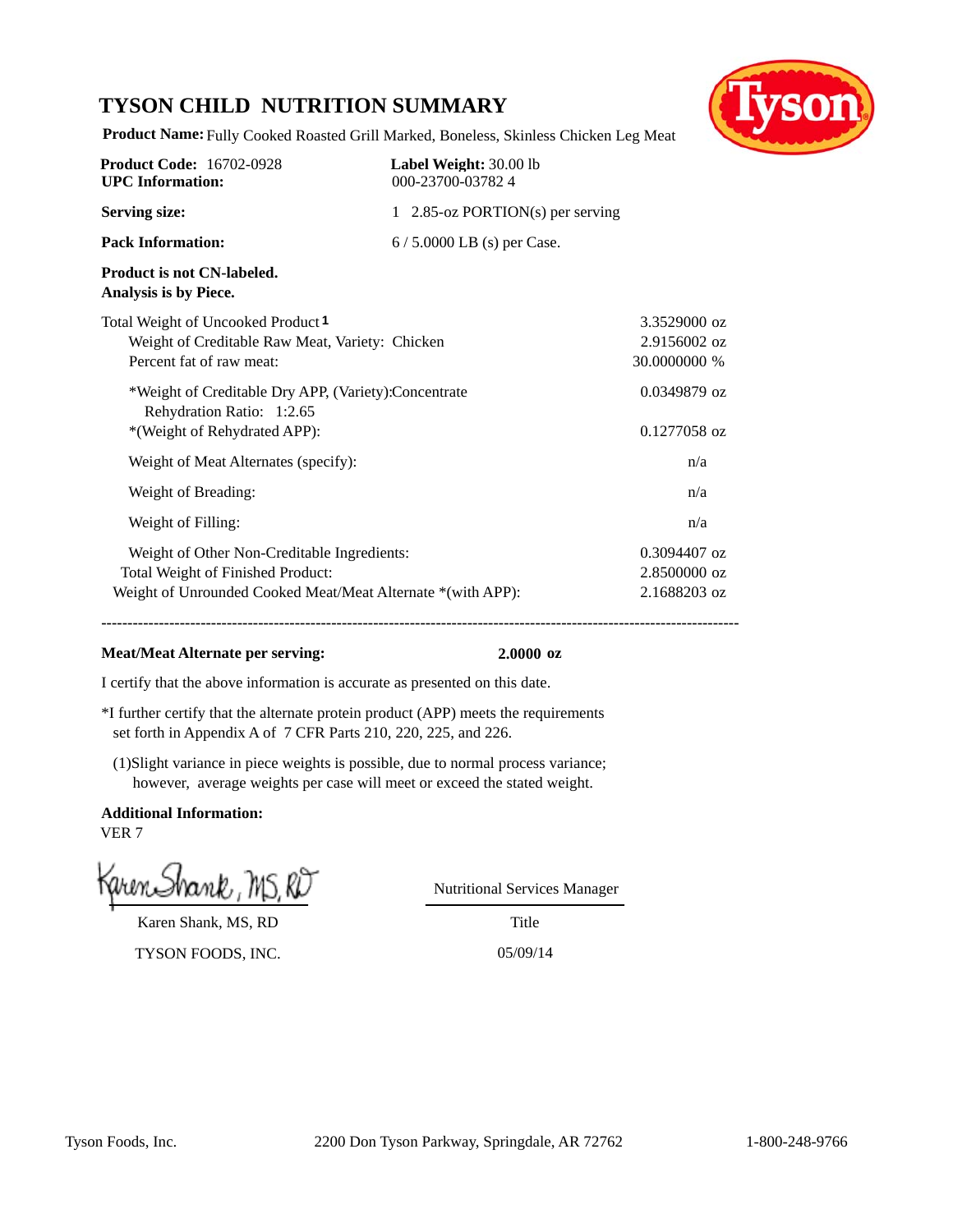### **TYSON CHILD NUTRITION SUMMARY**



**Product Name:** Fully Cooked Roasted Grill Marked, Boneless, Skinless Chicken Leg Meat

| <b>Product Code: 16702-0928</b><br><b>UPC</b> Information:                                                                                      | Label Weight: 30.00 lb<br>000-23700-037824 |                                                |
|-------------------------------------------------------------------------------------------------------------------------------------------------|--------------------------------------------|------------------------------------------------|
| <b>Serving size:</b>                                                                                                                            | 1 2.85-oz PORTION(s) per serving           |                                                |
| <b>Pack Information:</b>                                                                                                                        | $6/5.0000$ LB (s) per Case.                |                                                |
| <b>Product is not CN-labeled.</b><br>Analysis is by Piece.                                                                                      |                                            |                                                |
| Total Weight of Uncooked Product <sup>1</sup><br>Weight of Creditable Raw Meat, Variety: Chicken<br>Percent fat of raw meat:                    |                                            | 3.3529000 oz<br>2.9156002 oz<br>30.0000000 %   |
| *Weight of Creditable Dry APP, (Variety):Concentrate<br>Rehydration Ratio: 1:2.65<br>*(Weight of Rehydrated APP):                               |                                            | $0.0349879$ oz<br>$0.1277058$ oz               |
| Weight of Meat Alternates (specify):                                                                                                            |                                            | n/a                                            |
| Weight of Breading:                                                                                                                             |                                            | n/a                                            |
| Weight of Filling:                                                                                                                              |                                            | n/a                                            |
| Weight of Other Non-Creditable Ingredients:<br>Total Weight of Finished Product:<br>Weight of Unrounded Cooked Meat/Meat Alternate *(with APP): |                                            | $0.3094407$ oz<br>2.8500000 oz<br>2.1688203 oz |

**--------------------------------------------------------------------------------------------------------------------------**

#### **Meat/Meat Alternate per serving: 2.0000 oz**

I certify that the above information is accurate as presented on this date.

- \*I further certify that the alternate protein product (APP) meets the requirements set forth in Appendix A of 7 CFR Parts 210, 220, 225, and 226.
- (1)Slight variance in piece weights is possible, due to normal process variance; however, average weights per case will meet or exceed the stated weight.

**Additional Information:** VER 7

Karen Shank, MS, RD

TYSON FOODS, INC. 05/09/14

Nutritional Services Manager

Title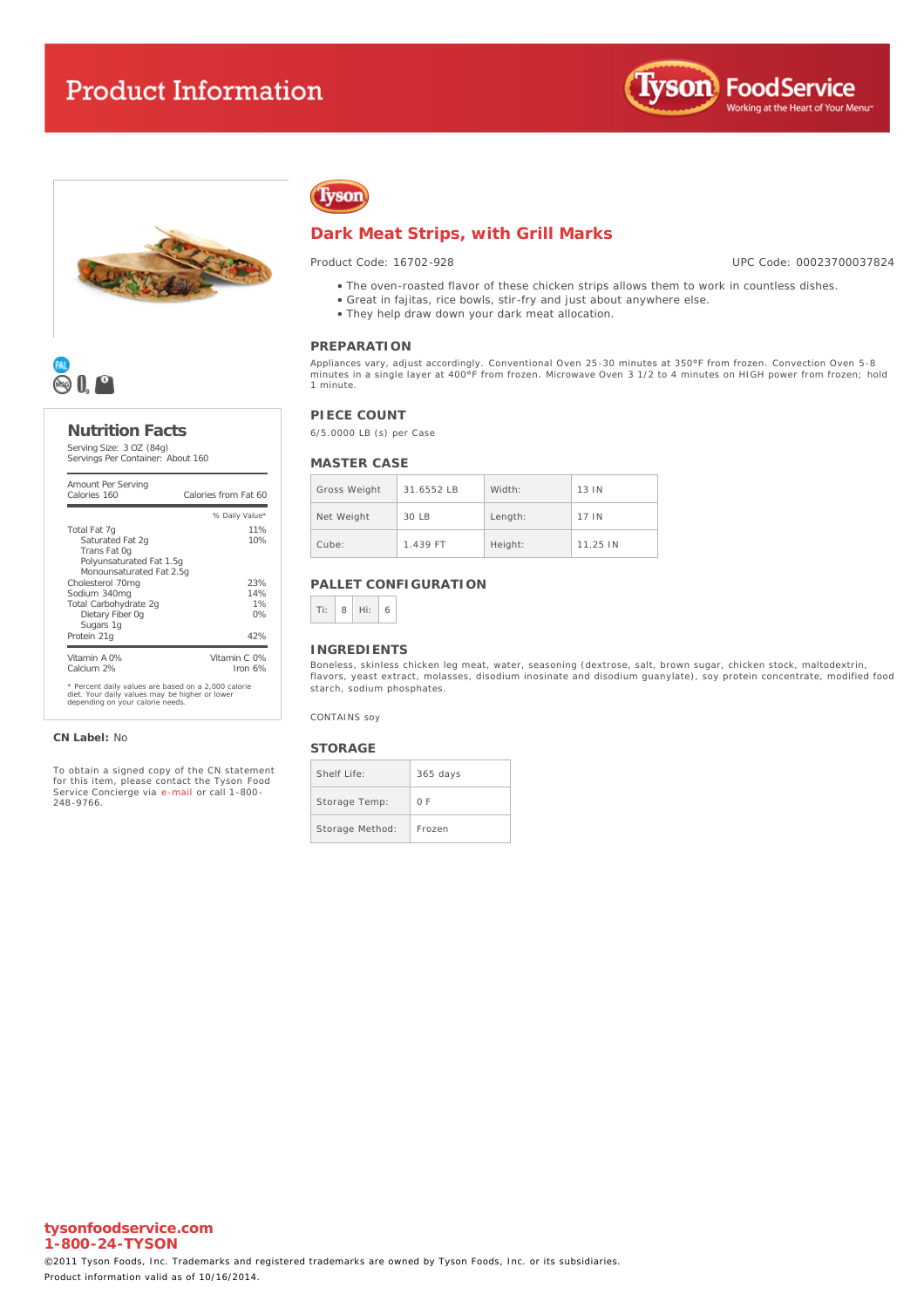





#### **Nutrition Facts**

Serving Size: 3 OZ (84g) Servings Per Container: About 160

| Amount Per Serving<br>Calories 160                                                                    | Calories from Fat 60       |
|-------------------------------------------------------------------------------------------------------|----------------------------|
|                                                                                                       | % Daily Value*             |
| Total Fat 7q                                                                                          | 11%                        |
| Saturated Fat 2g<br>Trans Fat Og                                                                      | 10%                        |
| Polyunsaturated Fat 1.5q                                                                              |                            |
| Monounsaturated Fat 2.5g<br>Cholesterol 70mg                                                          | 23%                        |
| Sodium 340mg                                                                                          | 14%                        |
| Total Carbohydrate 2q                                                                                 | 1%                         |
| Dietary Fiber Og                                                                                      | 0%                         |
| Sugars 1g<br>Protein 21g                                                                              | 42%                        |
| Vitamin A 0%<br>Calcium 2%                                                                            | Vitamin C. 0%<br>Iron $6%$ |
| * Percent daily values are based on a 2,000 calorie<br>diet. Your daily values may be higher or lower |                            |

diet. Your daily values may be higher or lower depending on your calorie needs.

**CN Label:** No

To obtain a signed copy of the CN statement for this item, please contact the Tyson Food Service Concierge via [e-mail](mailto:fscomments@tyson.com) or call 1-800- 248-9766.

# Tyson

#### **Dark Meat Strips, with Grill Marks**

Product Code: 16702-928

UPC Code: 00023700037824

- The oven-roasted flavor of these chicken strips allows them to work in countless dishes.
- Great in fajitas, rice bowls, stir-fry and just about anywhere else.
- They help draw down your dark meat allocation.

#### **PREPARATION**

Appliances vary, adjust accordingly. Conventional Oven 25-30 minutes at 350°F from frozen. Convection Oven 5-8 minutes in a single layer at 400°F from frozen. Microwave Oven 3 1/2 to 4 minutes on HIGH power from frozen; hold 1 minute.

#### **PIECE COUNT**

6/5.0000 LB (s) per Case

#### **MASTER CASE**

| Gross Weight | $31.6552$ IB | Width:  | 13 IN    |
|--------------|--------------|---------|----------|
| Net Weight   | 30 LB        | Length: | 17 IN    |
| Cube:        | 1.439 FT     | Height: | 11.25 IN |

#### **PALLET CONFIGURATION**



#### **INGREDIENTS**

Boneless, skinless chicken leg meat, water, seasoning (dextrose, salt, brown sugar, chicken stock, maltodextrin, flavors, yeast extract, molasses, disodium inosinate and disodium guanylate), soy protein concentrate, modified food starch, sodium phosphates.

CONTAINS soy

#### **STORAGE**

| Shelf Life:     | $365$ days |
|-----------------|------------|
| Storage Temp:   | 0 F        |
| Storage Method: | Frozen     |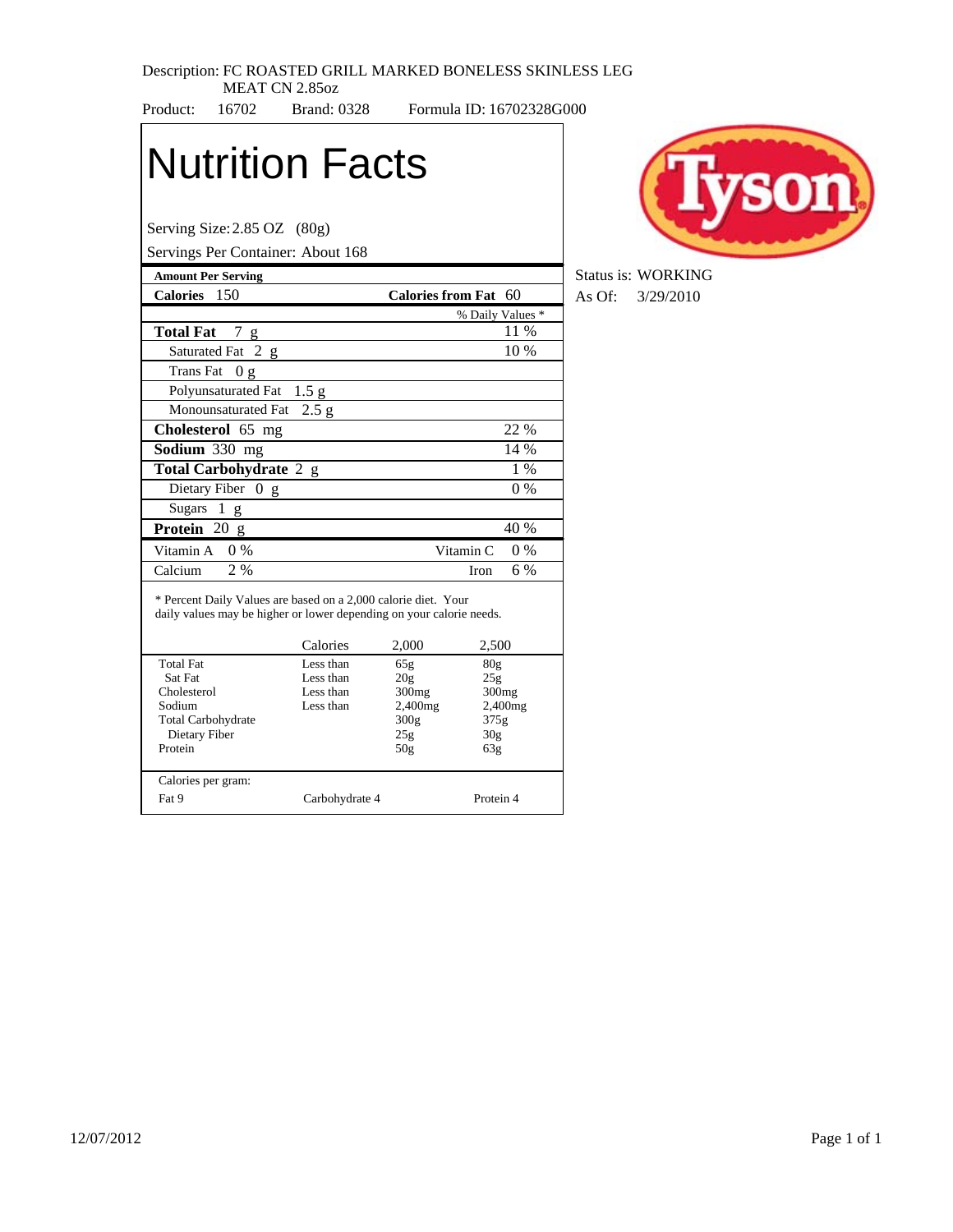#### Description: FC ROASTED GRILL MARKED BONELESS SKINLESS LEG MEAT CN 2.85oz

Product: 16702 Brand: 0328 Formula ID: 16702328G000

# Nutrition Facts

Serving Size:2.85 OZ (80g)

 Dietary Fiber Protein

Calories per gram:

Servings Per Container: About 168

| $\frac{1}{2}$                                                                                                                          |                  |                      |                    |  |
|----------------------------------------------------------------------------------------------------------------------------------------|------------------|----------------------|--------------------|--|
| <b>Amount Per Serving</b>                                                                                                              |                  |                      |                    |  |
| <b>Calories</b><br>- 150                                                                                                               |                  | Calories from Fat 60 |                    |  |
|                                                                                                                                        |                  |                      | % Daily Values *   |  |
| <b>Total Fat</b><br>7<br>g                                                                                                             |                  |                      | 11 %               |  |
| Saturated Fat 2 g                                                                                                                      |                  |                      | 10 %               |  |
| <b>Trans Fat</b><br>0 g                                                                                                                |                  |                      |                    |  |
| Polyunsaturated Fat                                                                                                                    | 1.5 <sub>g</sub> |                      |                    |  |
| Monounsaturated Fat                                                                                                                    | 2.5 g            |                      |                    |  |
| Cholesterol 65 mg                                                                                                                      |                  |                      | 22 %               |  |
| Sodium 330 mg                                                                                                                          |                  |                      | 14 %               |  |
| Total Carbohydrate 2 g                                                                                                                 |                  |                      | $1\%$              |  |
| Dietary Fiber 0 g                                                                                                                      |                  | $0\%$                |                    |  |
| <b>Sugars</b><br>1<br>g                                                                                                                |                  |                      |                    |  |
| Protein 20 g                                                                                                                           |                  |                      | 40 %               |  |
| Vitamin A<br>$0\%$                                                                                                                     |                  |                      | Vitamin C<br>$0\%$ |  |
| Calcium<br>2%                                                                                                                          |                  |                      | 6 %<br><b>Iron</b> |  |
| * Percent Daily Values are based on a 2,000 calorie diet. Your<br>daily values may be higher or lower depending on your calorie needs. | Calories         | 2,000                | 2,500              |  |
| <b>Total Fat</b>                                                                                                                       | Less than        | 65g                  | 80 <sub>g</sub>    |  |
| Sat Fat                                                                                                                                | Less than        | 20g                  | 25g                |  |
| Cholesterol                                                                                                                            | Less than        | 300mg                | 300 <sub>mg</sub>  |  |
| Sodium                                                                                                                                 | Less than        | 2,400mg              | 2,400mg            |  |
| <b>Total Carbohydrate</b>                                                                                                              |                  | 300g                 | 375g               |  |

Fat 9 Carbohydrate 4 Protein 4

300g 25g 50g

30g 63g



**Status is: WORKING Calories** 150 **Calories from Fat** 60 As Of: 3/29/2010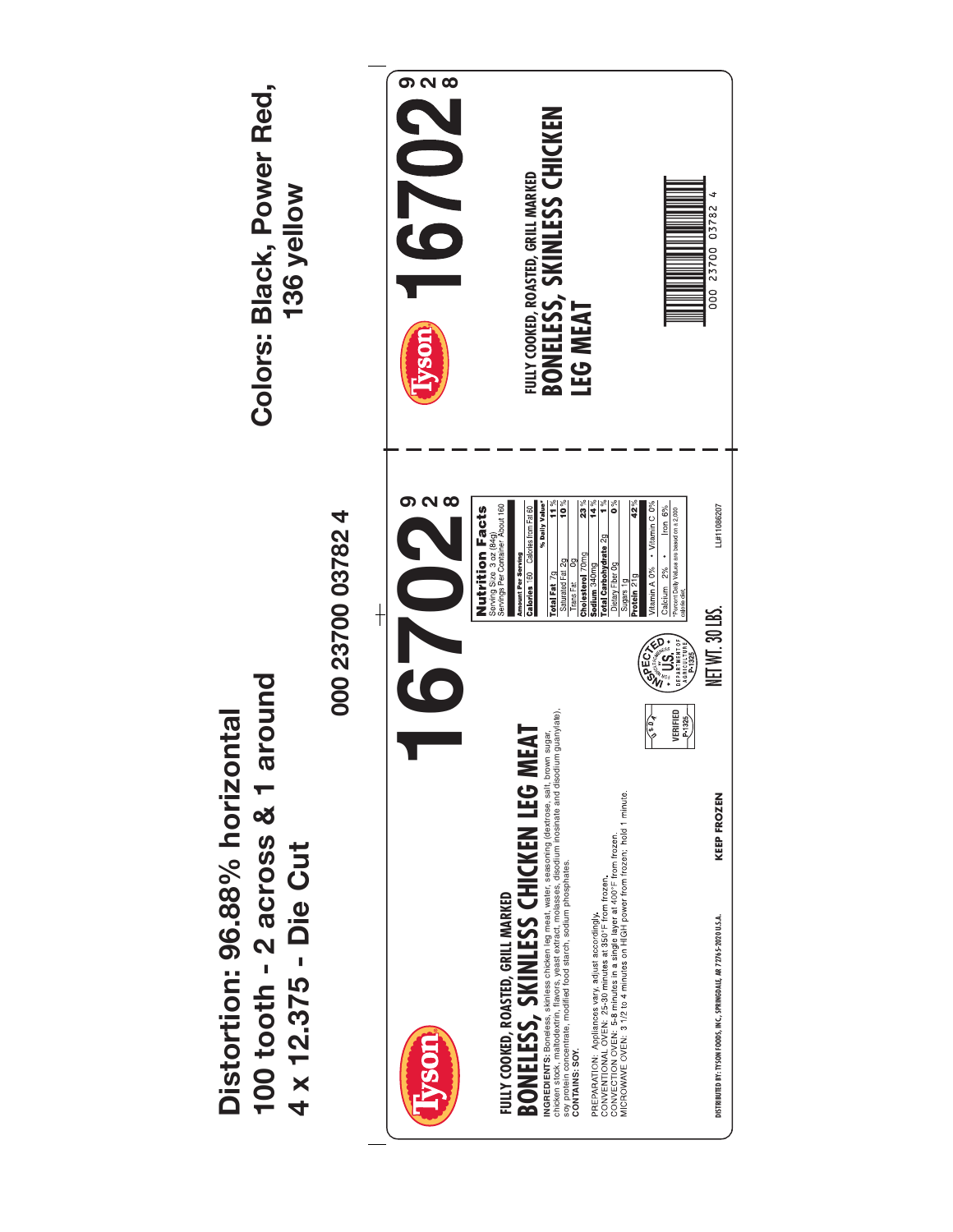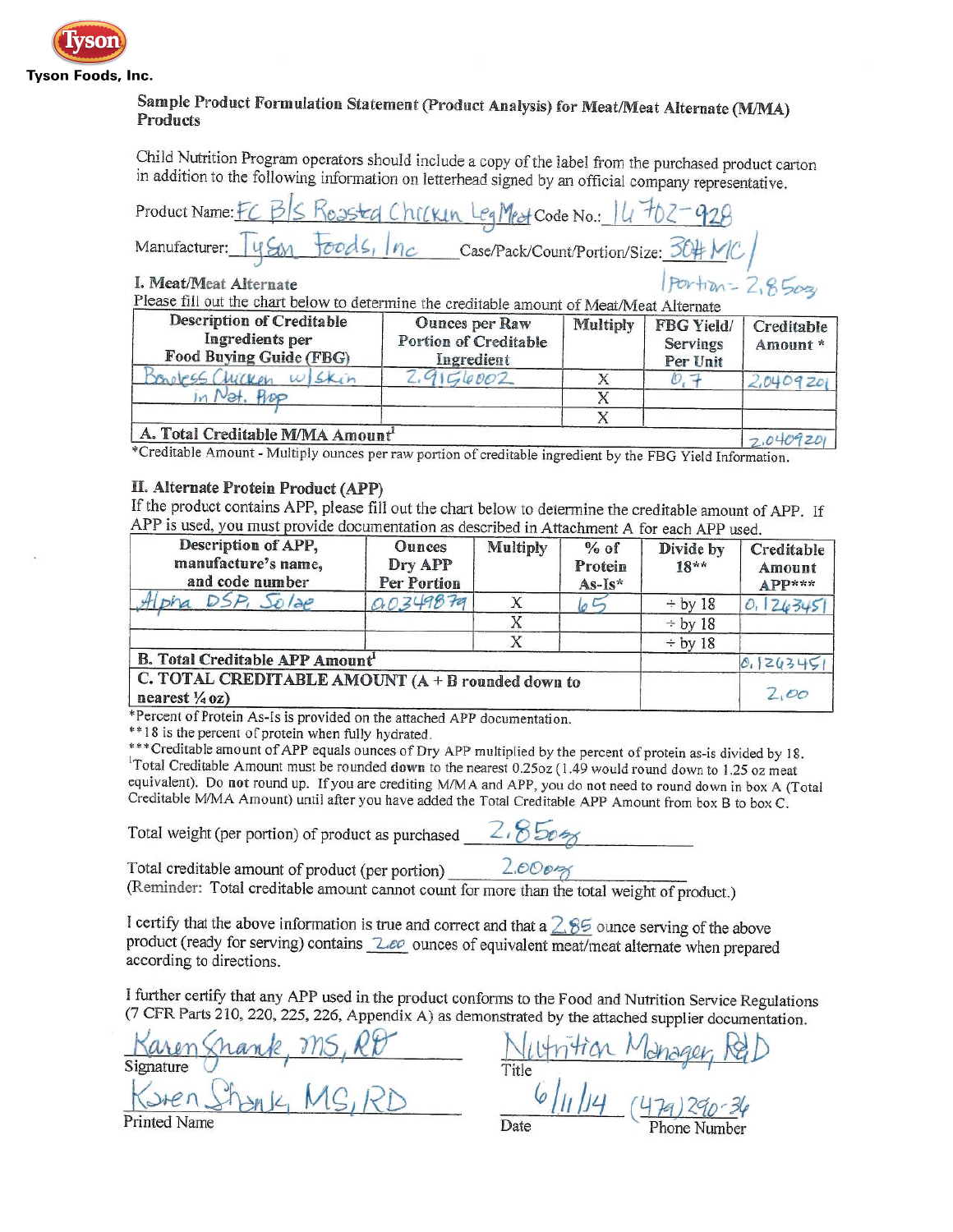

#### Sample Product Formulation Statement (Product Analysis) for Meat/Meat Alternate (M/MA) **Products**

Child Nutrition Program operators should include a copy of the label from the purchased product carton in addition to the following information on letterhead signed by an official company representative.

|                              |  | Product Name: FC B/S Rossted Chicken Leg Mest Code No.: 14702-928 |  |
|------------------------------|--|-------------------------------------------------------------------|--|
|                              |  |                                                                   |  |
| Manufacturer: 4gm Foods, Inc |  | Case/Pack/Count/Portion/Size: 30# MC                              |  |

I. Meat/Meat Alternate

Please fill out the chart below to determine the creditable amount of Meat/Meat Alternate

| <b>Description of Creditable</b><br>Ingredients per<br>Food Buying Guide (FBG) | <b>Ounces per Raw</b><br>Portion of Creditable<br>Ingredient | Multiply | FBG Yield/<br>Servings<br>Per Unit | Creditable<br>Amount* |
|--------------------------------------------------------------------------------|--------------------------------------------------------------|----------|------------------------------------|-----------------------|
| Wicken<br>$w $ <i>Skin</i>                                                     | 156002                                                       |          |                                    | 2.0409201             |
| PLADO                                                                          |                                                              |          |                                    |                       |
|                                                                                |                                                              |          |                                    |                       |
| A. Total Creditable M/MA Amount <sup>1</sup>                                   |                                                              |          |                                    |                       |

 $2.0409201$ \*Creditable Amount - Multiply ounces per raw portion of creditable ingredient by the FBG Yield Information.

#### II. Alternate Protein Product (APP)

If the product contains APP, please fill out the chart below to determine the creditable amount of APP. If APP is used, you must provide documentation as described in Attachment A for each APP used

| Description of APP,<br>manufacture's name,<br>and code number                  | <b>Ounces</b><br>Dry APP<br>Per Portion | Multiply | $%$ of<br>Protein<br>$As-Is*$ | Divide by<br>$18**$ | Creditable<br>Amount<br>$APP***$ |
|--------------------------------------------------------------------------------|-----------------------------------------|----------|-------------------------------|---------------------|----------------------------------|
| DSP, Solae                                                                     | 0.0349879                               |          |                               | $\div$ by 18        | 0.126345                         |
|                                                                                |                                         |          |                               | $\div$ by 18        |                                  |
|                                                                                |                                         |          |                               | $\div$ by 18        |                                  |
| <b>B. Total Creditable APP Amount1</b>                                         |                                         |          |                               |                     | 12634C                           |
| C. TOTAL CREDITABLE AMOUNT (A + B rounded down to<br>nearest $\frac{1}{4}$ oz) |                                         |          |                               |                     | 200                              |

\*Percent of Protein As-Is is provided on the attached APP documentation.

\*\* 18 is the percent of protein when fully hydrated.

\*\*\* Creditable amount of APP equals ounces of Dry APP multiplied by the percent of protein as-is divided by 18. <sup>1</sup>Total Creditable Amount must be rounded down to the nearest 0.25oz (1.49 would round down to 1.25 oz meat equivalent). Do not round up. If you are crediting M/MA and APP, you do not need to round down in box A (Total Creditable M/MA Amount) until after you have added the Total Creditable APP Amount from box B to box C.

Total weight (per portion) of product as purchased  $2.850$ 

Total creditable amount of product (per portion) \_  $2.000<sub>0</sub>$ 

(Reminder: Total creditable amount cannot count for more than the total weight of product.)

I certify that the above information is true and correct and that a  $2.85$  ounce serving of the above product (ready for serving) contains 2.00 ounces of equivalent meat/meat alternate when prepared according to directions.

I further certify that any APP used in the product conforms to the Food and Nutrition Service Regulations (7 CFR Parts 210, 220, 225, 226, Appendix A) as demonstrated by the attached supplier documentation.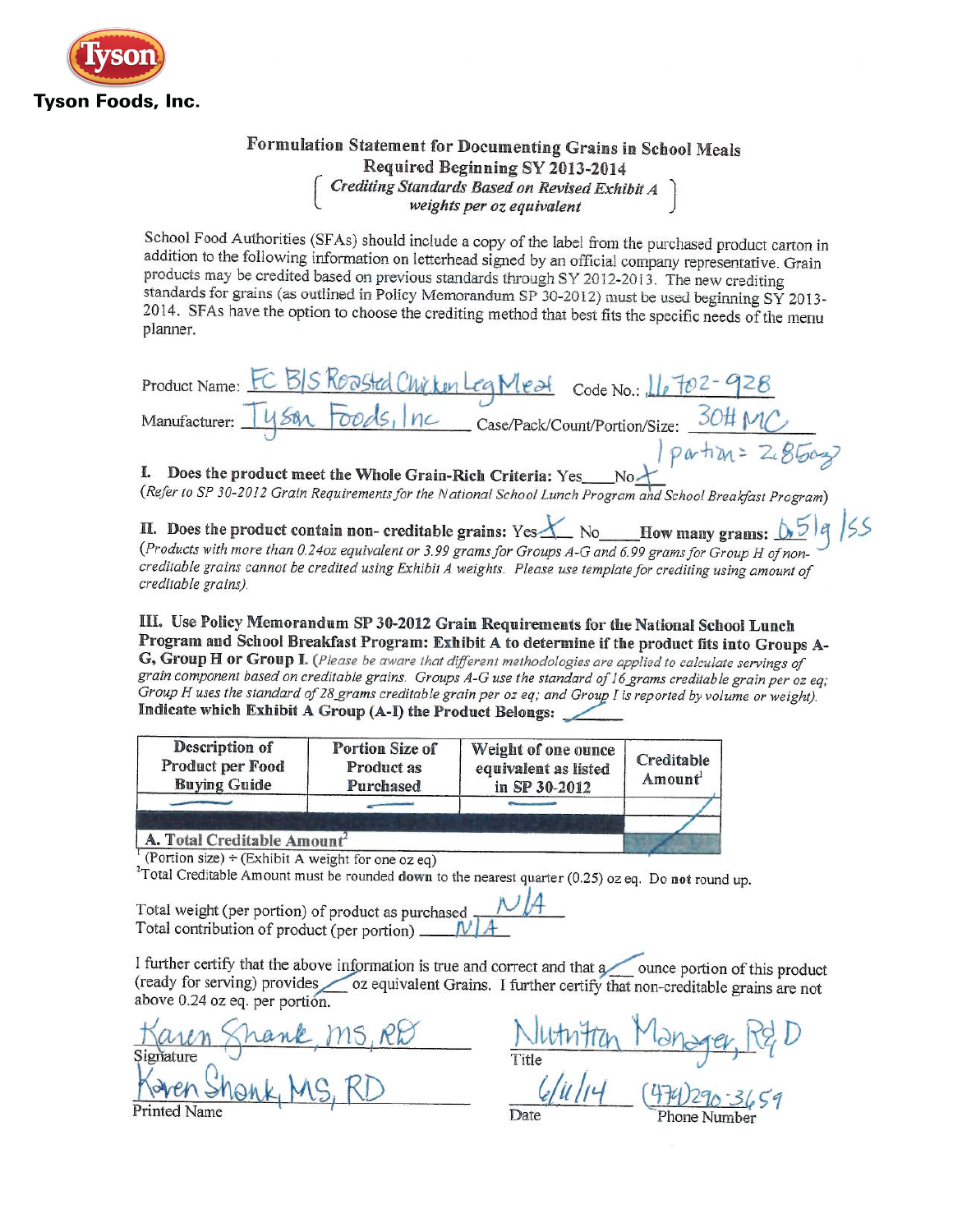

## Formulation Statement for Documenting Grains in School Meals Required Beginning SY 2013-2014 Crediting Standards Based on Revised Exhibit A<br>weights per oz equivalent

School Food Authorities (SFAs) should include a copy of the label from the purchased product carton in addition to the following information on letterhead signed by an official company representative. Grain products may be credited based on previous standards through SY 2012-2013. The new crediting standards for grains (as outlined in Policy Memorandum SP 30-2012) must be used beginning SY 2013-2014. SFAs have the option to choose the crediting method that best fits the specific needs of the menu planner.

| Product Name: EC BIS ROOSted Chicken Leg Mest Code No.: 16702-928 |
|-------------------------------------------------------------------|
| Manufacturer: 1458 Foods, Inc Case/Pack/Count/Portion/Size: 30#MC |
| $perh$ $x = 2.850x$                                               |

I. Does the product meet the Whole Grain-Rich Criteria: Yes No $\overline{A}$  No  $\overline{A}$  No Refer to SP 30-2012 Grain Requirements for the National School Lunch Program and School Breakfast Program)

II. Does the product contain non- creditable grains: Yes  $X$  No How many grams:  $0.5$ <br>(Products with more than 0.24oz equivalent or 3.99 grams for Groups A-G and 6.99 grams for Group H of noncreditable grains cannot be credited using Exhibit A weights. Please use template for crediting using amount of creditable grains).

III. Use Policy Memorandum SP 30-2012 Grain Requirements for the National School Lunch Program and School Breakfast Program: Exhibit A to determine if the product fits into Groups A-G, Group H or Group I. (Please be aware that different methodologies are applied to calculate servings of

grain component based on creditable grains. Groups A-G use the standard of 16 grams creditable grain per oz eq; Group H uses the standard of 28 grams creditable grain per oz eq; and Group I is reported by volume or weight). Indicate which Exhibit A Group (A-I) the Product Belongs:

| Description of<br>Product per Food<br><b>Buying Guide</b> | Portion Size of<br>Product as<br>Purchased | Weight of one ounce<br>equivalent as listed<br>in SP 30-2012 | Creditable<br>Amount <sup>1</sup> |
|-----------------------------------------------------------|--------------------------------------------|--------------------------------------------------------------|-----------------------------------|
|                                                           |                                            |                                                              |                                   |
| A. Total Creditable Amount <sup>2</sup>                   |                                            |                                                              |                                   |

<sup>1</sup> (Portion size) ÷ (Exhibit A weight for one oz eq)

<sup>2</sup>Total Creditable Amount must be rounded down to the nearest quarter (0.25) oz eq. Do not round up.

Total weight (per portion) of product as purchased  $\mathcal{N}/\mathcal{A}$ Total contribution of product (per portion) \_\_

I further certify that the above information is true and correct and that a ounce portion of this product (ready for serving) provides oz equivalent Grains. I further certify that non-creditable grains are not above 0.24 oz eq. per portión.